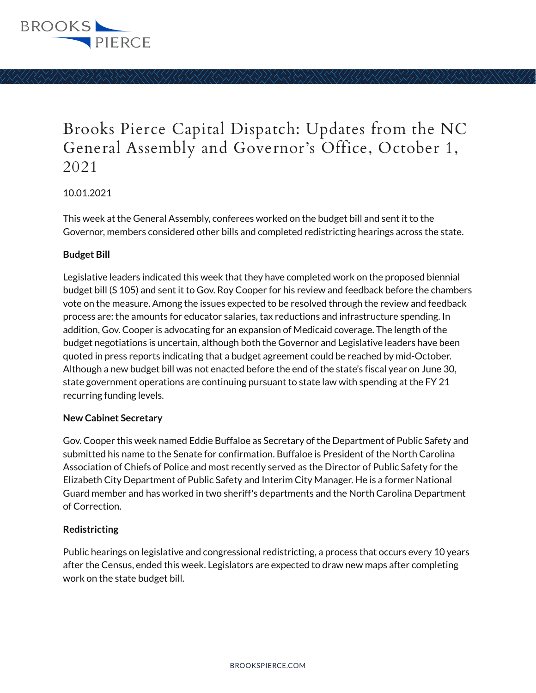

# Brooks Pierce Capital Dispatch: Updates from the NC General Assembly and Governor's Office, October 1, 2021

### 10.01.2021

This week at the General Assembly, conferees worked on the budget bill and sent it to the Governor, members considered other bills and completed redistricting hearings across the state.

#### **Budget Bill**

Legislative leaders indicated this week that they have completed work on the proposed biennial budget bill (S 105) and sent it to Gov. Roy Cooper for his review and feedback before the chambers vote on the measure. Among the issues expected to be resolved through the review and feedback process are: the amounts for educator salaries, tax reductions and infrastructure spending. In addition, Gov. Cooper is advocating for an expansion of Medicaid coverage. The length of the budget negotiations is uncertain, although both the Governor and Legislative leaders have been quoted in press reports indicating that a budget agreement could be reached by mid-October. Although a new budget bill was not enacted before the end of the state's fiscal year on June 30, state government operations are continuing pursuant to state law with spending at the FY 21 recurring funding levels.

#### **New Cabinet Secretary**

Gov. Cooper this week named Eddie Buffaloe as Secretary of the Department of Public Safety and submitted his name to the Senate for confirmation. Buffaloe is President of the North Carolina Association of Chiefs of Police and most recently served as the Director of Public Safety for the Elizabeth City Department of Public Safety and Interim City Manager. He is a former National Guard member and has worked in two sheriff's departments and the North Carolina Department of Correction.

#### **Redistricting**

Public hearings on legislative and congressional redistricting, a process that occurs every 10 years after the Census, ended this week. Legislators are expected to draw new maps after completing work on the state budget bill.